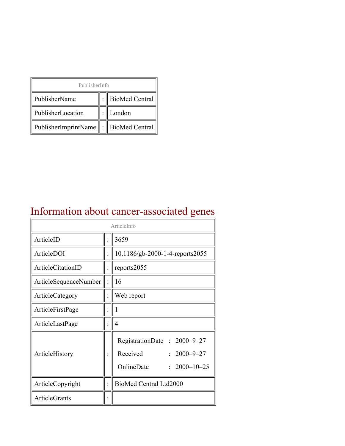| PublisherInfo                                   |  |                    |  |  |
|-------------------------------------------------|--|--------------------|--|--|
| PublisherName                                   |  | :   BioMed Central |  |  |
| PublisherLocation                               |  | London             |  |  |
| PublisherImprintName $\ \cdot\ $ BioMed Central |  |                    |  |  |

## Information about cancer-associated genes

| ArticleInfo                  |  |                                                                                                  |
|------------------------------|--|--------------------------------------------------------------------------------------------------|
| ArticleID                    |  | 3659                                                                                             |
| ArticleDOI                   |  | 10.1186/gb-2000-1-4-reports2055                                                                  |
| ArticleCitationID            |  | reports2055                                                                                      |
| <b>ArticleSequenceNumber</b> |  | 16                                                                                               |
| ArticleCategory              |  | Web report                                                                                       |
| ArticleFirstPage             |  | I                                                                                                |
| ArticleLastPage              |  | $\overline{4}$                                                                                   |
| ArticleHistory               |  | RegistrationDate: 2000-9-27<br>Received<br>$: 2000 - 9 - 27$<br>OnlineDate<br>$: 2000 - 10 - 25$ |
| ArticleCopyright             |  | BioMed Central Ltd2000                                                                           |
| ArticleGrants                |  |                                                                                                  |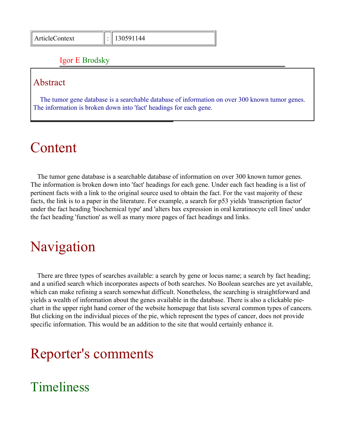#### Igor E Brodsky

#### Abstract

The tumor gene database is a searchable database of information on over 300 known tumor genes. The information is broken down into 'fact' headings for each gene.

## Content

The tumor gene database is a searchable database of information on over 300 known tumor genes. The information is broken down into 'fact' headings for each gene. Under each fact heading is a list of pertinent facts with a link to the original source used to obtain the fact. For the vast majority of these facts, the link is to a paper in the literature. For example, a search for p53 yields 'transcription factor' under the fact heading 'biochemical type' and 'alters bax expression in oral keratinocyte cell lines' under the fact heading 'function' as well as many more pages of fact headings and links.

## Navigation

There are three types of searches available: a search by gene or locus name; a search by fact heading; and a unified search which incorporates aspects of both searches. No Boolean searches are yet available, which can make refining a search somewhat difficult. Nonetheless, the searching is straightforward and yields a wealth of information about the genes available in the database. There is also a clickable piechart in the upper right hand corner of the website homepage that lists several common types of cancers. But clicking on the individual pieces of the pie, which represent the types of cancer, does not provide specific information. This would be an addition to the site that would certainly enhance it.

## Reporter's comments

## Timeliness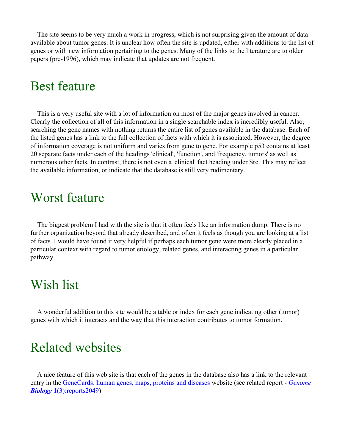The site seems to be very much a work in progress, which is not surprising given the amount of data available about tumor genes. It is unclear how often the site is updated, either with additions to the list of genes or with new information pertaining to the genes. Many of the links to the literature are to older papers (pre-1996), which may indicate that updates are not frequent.

#### Best feature

This is a very useful site with a lot of information on most of the major genes involved in cancer. Clearly the collection of all of this information in a single searchable index is incredibly useful. Also, searching the gene names with nothing returns the entire list of genes available in the database. Each of the listed genes has a link to the full collection of facts with which it is associated. However, the degree of information coverage is not uniform and varies from gene to gene. For example p53 contains at least 20 separate facts under each of the headings 'clinical', 'function', and 'frequency, tumors' as well as numerous other facts. In contrast, there is not even a 'clinical' fact heading under Src. This may reflect the available information, or indicate that the database is still very rudimentary.

#### Worst feature

The biggest problem I had with the site is that it often feels like an information dump. There is no further organization beyond that already described, and often it feels as though you are looking at a list of facts. I would have found it very helpful if perhaps each tumor gene were more clearly placed in a particular context with regard to tumor etiology, related genes, and interacting genes in a particular pathway.

### Wish list

A wonderful addition to this site would be a table or index for each gene indicating other (tumor) genes with which it interacts and the way that this interaction contributes to tumor formation.

### Related websites

A nice feature of this web site is that each of the genes in the database also has a link to the relevant entry in the [GeneCards: human genes, maps, proteins and diseases](http://bioinformatics.weizmann.ac.il/cards/) website (see related report - *[Genome](http://genomebiology.com/2000/1/3/reports/2049/) Biology* **1**[\(3\):reports2049\)](http://genomebiology.com/2000/1/3/reports/2049/)